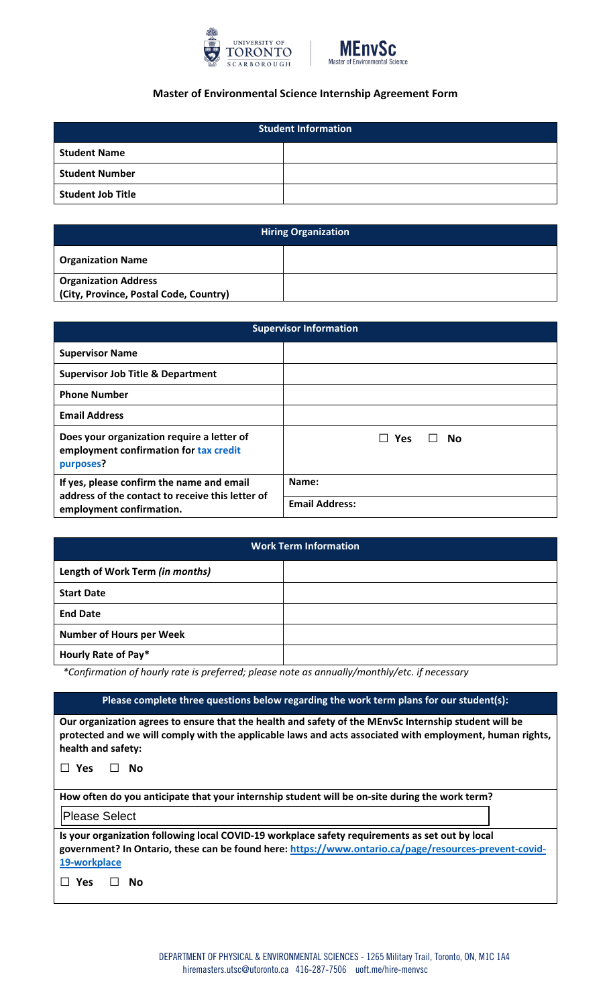



## **Master of Environmental Science Internship Agreement Form**

| <b>Student Information</b> |  |  |
|----------------------------|--|--|
| <b>Student Name</b>        |  |  |
| <b>Student Number</b>      |  |  |
| <b>Student Job Title</b>   |  |  |

| <b>Hiring Organization</b>                                            |  |  |
|-----------------------------------------------------------------------|--|--|
| <b>Organization Name</b>                                              |  |  |
| <b>Organization Address</b><br>(City, Province, Postal Code, Country) |  |  |

| <b>Supervisor Information</b>                                                                                             |                       |
|---------------------------------------------------------------------------------------------------------------------------|-----------------------|
| <b>Supervisor Name</b>                                                                                                    |                       |
| <b>Supervisor Job Title &amp; Department</b>                                                                              |                       |
| <b>Phone Number</b>                                                                                                       |                       |
| <b>Email Address</b>                                                                                                      |                       |
| Does your organization require a letter of<br>employment confirmation for tax credit<br>purposes?                         | <b>Yes</b><br>No      |
| If yes, please confirm the name and email<br>address of the contact to receive this letter of<br>employment confirmation. | Name:                 |
|                                                                                                                           | <b>Email Address:</b> |

| <b>Work Term Information</b>    |  |  |
|---------------------------------|--|--|
| Length of Work Term (in months) |  |  |
| <b>Start Date</b>               |  |  |
| <b>End Date</b>                 |  |  |
| <b>Number of Hours per Week</b> |  |  |
| Hourly Rate of Pay*             |  |  |

*\*Confirmation of hourly rate is preferred; please note as annually/monthly/etc. if necessary*

| Please complete three questions below regarding the work term plans for our student(s):                                                                                                                                                      |  |  |
|----------------------------------------------------------------------------------------------------------------------------------------------------------------------------------------------------------------------------------------------|--|--|
| Our organization agrees to ensure that the health and safety of the MEnvSc Internship student will be<br>protected and we will comply with the applicable laws and acts associated with employment, human rights,<br>health and safety:      |  |  |
| <b>Yes</b><br>No                                                                                                                                                                                                                             |  |  |
| How often do you anticipate that your internship student will be on-site during the work term?                                                                                                                                               |  |  |
| Please Select                                                                                                                                                                                                                                |  |  |
| Is your organization following local COVID-19 workplace safety requirements as set out by local<br>government? In Ontario, these can be found here: https://www.ontario.ca/page/resources-prevent-covid-<br>19-workplace<br><b>Yes</b><br>No |  |  |
|                                                                                                                                                                                                                                              |  |  |